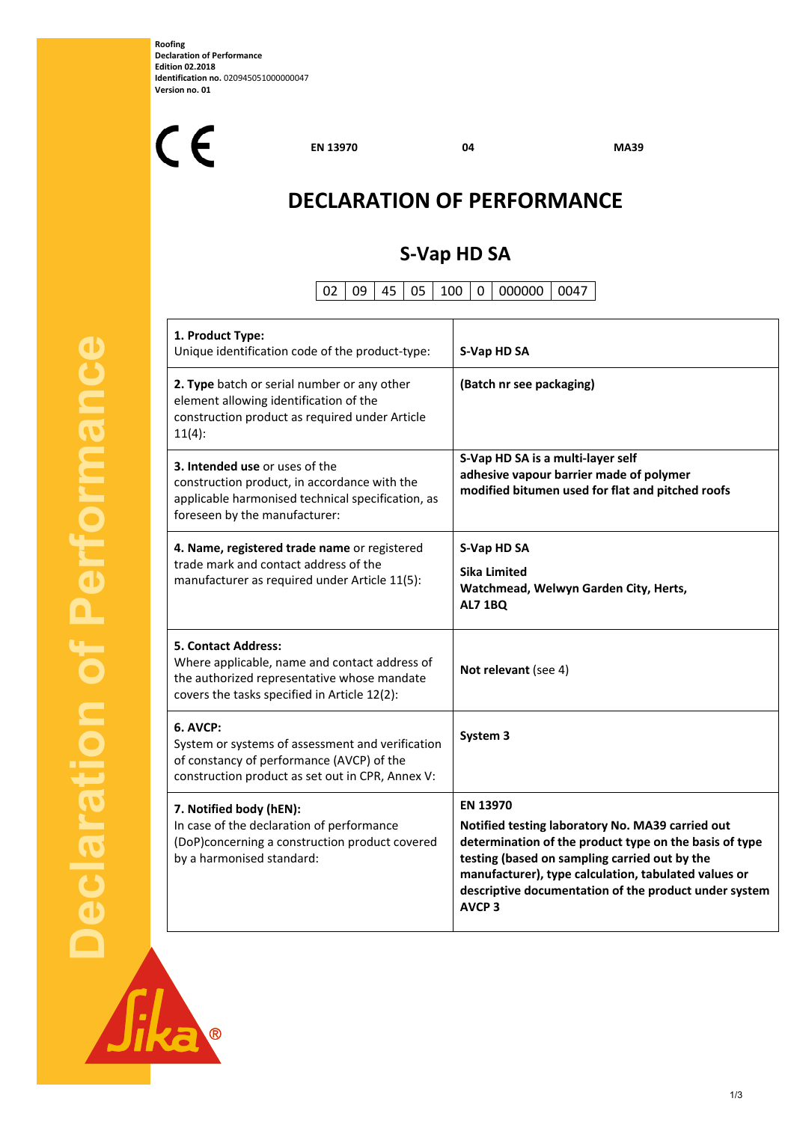**Roofing Declaration of Performance Edition 02.2018 Identification no.** 020945051000000047 **Version no. 01** 

 $C<sub>f</sub>$ 

**EN 13970 04 MA39** 

# **DECLARATION OF PERFORMANCE**

## **S‐Vap HD SA**

02 09 45 05 100 0 000000 0047

| 1. Product Type:<br>Unique identification code of the product-type:                                                                                                        | S-Vap HD SA                                                                                                                                                                                                                                                                                                                |
|----------------------------------------------------------------------------------------------------------------------------------------------------------------------------|----------------------------------------------------------------------------------------------------------------------------------------------------------------------------------------------------------------------------------------------------------------------------------------------------------------------------|
| 2. Type batch or serial number or any other<br>element allowing identification of the<br>construction product as required under Article<br>11(4):                          | (Batch nr see packaging)                                                                                                                                                                                                                                                                                                   |
| 3. Intended use or uses of the<br>construction product, in accordance with the<br>applicable harmonised technical specification, as<br>foreseen by the manufacturer:       | S-Vap HD SA is a multi-layer self<br>adhesive vapour barrier made of polymer<br>modified bitumen used for flat and pitched roofs                                                                                                                                                                                           |
| 4. Name, registered trade name or registered<br>trade mark and contact address of the<br>manufacturer as required under Article 11(5):                                     | S-Vap HD SA<br><b>Sika Limited</b><br>Watchmead, Welwyn Garden City, Herts,<br><b>AL7 1BQ</b>                                                                                                                                                                                                                              |
| <b>5. Contact Address:</b><br>Where applicable, name and contact address of<br>the authorized representative whose mandate<br>covers the tasks specified in Article 12(2): | Not relevant (see 4)                                                                                                                                                                                                                                                                                                       |
| 6. AVCP:<br>System or systems of assessment and verification<br>of constancy of performance (AVCP) of the<br>construction product as set out in CPR, Annex V:              | System 3                                                                                                                                                                                                                                                                                                                   |
| 7. Notified body (hEN):<br>In case of the declaration of performance<br>(DoP)concerning a construction product covered<br>by a harmonised standard:                        | <b>EN 13970</b><br>Notified testing laboratory No. MA39 carried out<br>determination of the product type on the basis of type<br>testing (based on sampling carried out by the<br>manufacturer), type calculation, tabulated values or<br>descriptive documentation of the product under system<br><b>AVCP<sub>3</sub></b> |

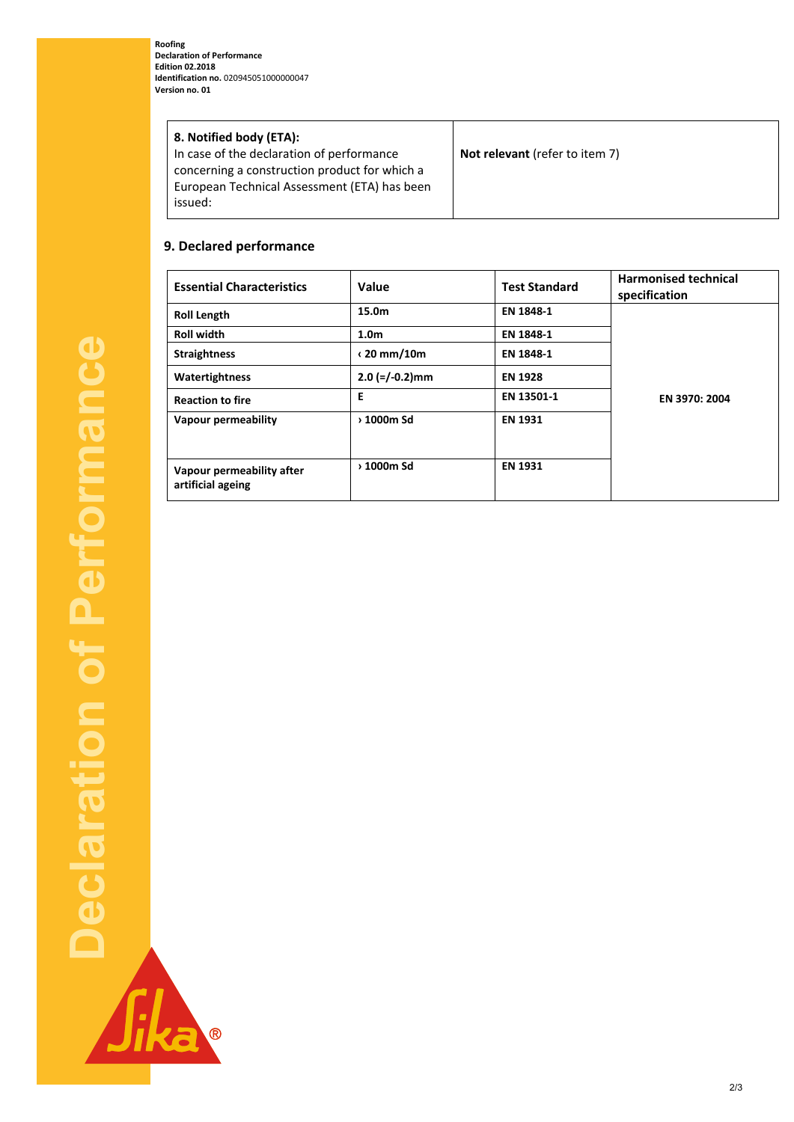**Roofing Declaration of Performance Edition 02.2018 Identification no.** 020945051000000047 **Version no. 01** 

| 8. Notified body (ETA):                       |                                       |
|-----------------------------------------------|---------------------------------------|
| In case of the declaration of performance     | <b>Not relevant</b> (refer to item 7) |
| concerning a construction product for which a |                                       |
| European Technical Assessment (ETA) has been  |                                       |
| issued:                                       |                                       |
|                                               |                                       |

#### **9. Declared performance**

B

| <b>Essential Characteristics</b>               | Value                                      | <b>Test Standard</b> | <b>Harmonised technical</b><br>specification |
|------------------------------------------------|--------------------------------------------|----------------------|----------------------------------------------|
| <b>Roll Length</b>                             | 15.0m                                      | EN 1848-1            | EN 3970: 2004                                |
| <b>Roll width</b>                              | 1.0 <sub>m</sub>                           | EN 1848-1            |                                              |
| <b>Straightness</b>                            | $\langle 20 \text{ mm}/10\text{m} \rangle$ | EN 1848-1            |                                              |
| Watertightness                                 | $2.0$ (=/-0.2)mm                           | <b>EN 1928</b>       |                                              |
| <b>Reaction to fire</b>                        | Е                                          | EN 13501-1           |                                              |
| <b>Vapour permeability</b>                     | > 1000m Sd                                 | <b>EN 1931</b>       |                                              |
| Vapour permeability after<br>artificial ageing | > 1000m Sd                                 | <b>EN 1931</b>       |                                              |